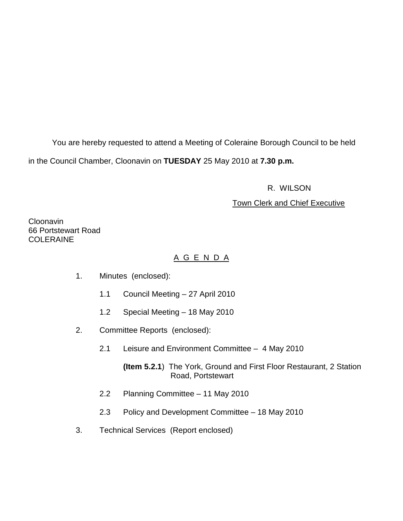You are hereby requested to attend a Meeting of Coleraine Borough Council to be held in the Council Chamber, Cloonavin on **TUESDAY** 25 May 2010 at **7.30 p.m.** 

R. WILSON

# Town Clerk and Chief Executive

Cloonavin 66 Portstewart Road **COLERAINE** 

# A G E N D A

- 1. Minutes (enclosed):
	- 1.1 Council Meeting 27 April 2010
	- 1.2 Special Meeting 18 May 2010
- 2. Committee Reports (enclosed):
	- 2.1 Leisure and Environment Committee 4 May 2010

**(Item 5.2.1**) The York, Ground and First Floor Restaurant, 2 Station Road, Portstewart

- 2.2 Planning Committee 11 May 2010
- 2.3 Policy and Development Committee 18 May 2010
- 3. Technical Services (Report enclosed)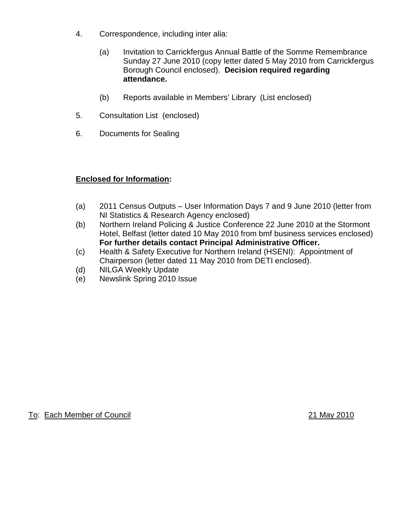- 4. Correspondence, including inter alia:
	- (a) Invitation to Carrickfergus Annual Battle of the Somme Remembrance Sunday 27 June 2010 (copy letter dated 5 May 2010 from Carrickfergus Borough Council enclosed). **Decision required regarding attendance.**
	- (b) Reports available in Members' Library (List enclosed)
- 5. Consultation List (enclosed)
- 6. Documents for Sealing

# **Enclosed for Information:**

- (a) 2011 Census Outputs User Information Days 7 and 9 June 2010 (letter from NI Statistics & Research Agency enclosed)
- (b) Northern Ireland Policing & Justice Conference 22 June 2010 at the Stormont Hotel, Belfast (letter dated 10 May 2010 from bmf business services enclosed) **For further details contact Principal Administrative Officer.**
- (c) Health & Safety Executive for Northern Ireland (HSENI): Appointment of Chairperson (letter dated 11 May 2010 from DETI enclosed).
- (d) NILGA Weekly Update
- (e) Newslink Spring 2010 Issue

To: Each Member of Council 21 May 2010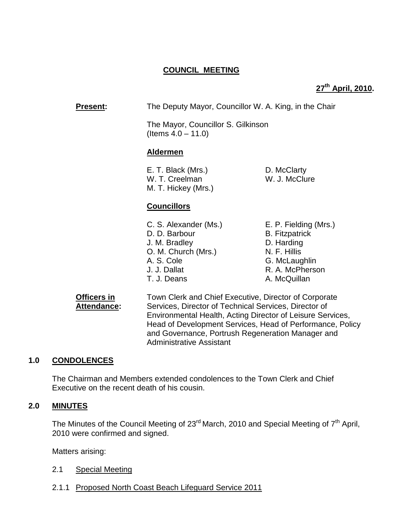# **COUNCIL MEETING**

# **27th April, 2010.**

**Present:** The Deputy Mayor, Councillor W. A. King, in the Chair The Mayor, Councillor S. Gilkinson (Items 4.0 – 11.0) **Aldermen** E. T. Black (Mrs.) D. McClarty W. T. Creelman W. J. McClure M. T. Hickey (Mrs.) **Councillors** C. S. Alexander (Ms.) E. P. Fielding (Mrs.) D. D. Barbour B. Fitzpatrick J. M. Bradley D. Harding O. M. Church (Mrs.) N. F. Hillis A. S. Cole G. McLaughlin J. J. Dallat R. A. McPherson T. J. Deans A. McQuillan **Officers in Town Clerk and Chief Executive, Director of Corporate** Attendance: Services, Director of Technical Services, Director of

Environmental Health, Acting Director of Leisure Services, Head of Development Services, Head of Performance, Policy and Governance, Portrush Regeneration Manager and Administrative Assistant

# **1.0 CONDOLENCES**

The Chairman and Members extended condolences to the Town Clerk and Chief Executive on the recent death of his cousin.

#### **2.0 MINUTES**

The Minutes of the Council Meeting of  $23<sup>rd</sup>$  March, 2010 and Special Meeting of  $7<sup>th</sup>$  April, 2010 were confirmed and signed.

Matters arising:

- 2.1 Special Meeting
- 2.1.1 Proposed North Coast Beach Lifeguard Service 2011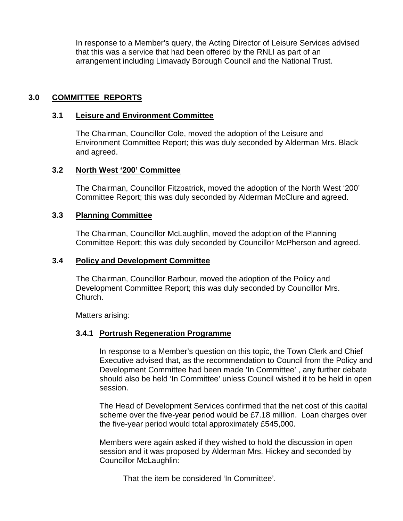In response to a Member's query, the Acting Director of Leisure Services advised that this was a service that had been offered by the RNLI as part of an arrangement including Limavady Borough Council and the National Trust.

## **3.0 COMMITTEE REPORTS**

#### **3.1 Leisure and Environment Committee**

 The Chairman, Councillor Cole, moved the adoption of the Leisure and Environment Committee Report; this was duly seconded by Alderman Mrs. Black and agreed.

#### **3.2 North West '200' Committee**

The Chairman, Councillor Fitzpatrick, moved the adoption of the North West '200' Committee Report; this was duly seconded by Alderman McClure and agreed.

#### **3.3 Planning Committee**

 The Chairman, Councillor McLaughlin, moved the adoption of the Planning Committee Report; this was duly seconded by Councillor McPherson and agreed.

#### **3.4 Policy and Development Committee**

 The Chairman, Councillor Barbour, moved the adoption of the Policy and Development Committee Report; this was duly seconded by Councillor Mrs. Church.

Matters arising:

## **3.4.1 Portrush Regeneration Programme**

In response to a Member's question on this topic, the Town Clerk and Chief Executive advised that, as the recommendation to Council from the Policy and Development Committee had been made 'In Committee' , any further debate should also be held 'In Committee' unless Council wished it to be held in open session.

The Head of Development Services confirmed that the net cost of this capital scheme over the five-year period would be £7.18 million. Loan charges over the five-year period would total approximately £545,000.

Members were again asked if they wished to hold the discussion in open session and it was proposed by Alderman Mrs. Hickey and seconded by Councillor McLaughlin:

That the item be considered 'In Committee'.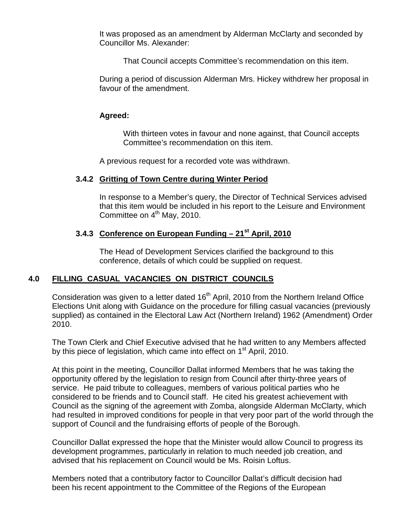It was proposed as an amendment by Alderman McClarty and seconded by Councillor Ms. Alexander:

That Council accepts Committee's recommendation on this item.

During a period of discussion Alderman Mrs. Hickey withdrew her proposal in favour of the amendment.

## **Agreed:**

With thirteen votes in favour and none against, that Council accepts Committee's recommendation on this item.

A previous request for a recorded vote was withdrawn.

# **3.4.2 Gritting of Town Centre during Winter Period**

In response to a Member's query, the Director of Technical Services advised that this item would be included in his report to the Leisure and Environment Committee on 4<sup>th</sup> May, 2010.

# **3.4.3 Conference on European Funding – 21st April, 2010**

The Head of Development Services clarified the background to this conference, details of which could be supplied on request.

# **4.0 FILLING CASUAL VACANCIES ON DISTRICT COUNCILS**

Consideration was given to a letter dated  $16<sup>th</sup>$  April, 2010 from the Northern Ireland Office Elections Unit along with Guidance on the procedure for filling casual vacancies (previously supplied) as contained in the Electoral Law Act (Northern Ireland) 1962 (Amendment) Order 2010.

 The Town Clerk and Chief Executive advised that he had written to any Members affected by this piece of legislation, which came into effect on  $1<sup>st</sup>$  April, 2010.

 At this point in the meeting, Councillor Dallat informed Members that he was taking the opportunity offered by the legislation to resign from Council after thirty-three years of service. He paid tribute to colleagues, members of various political parties who he considered to be friends and to Council staff. He cited his greatest achievement with Council as the signing of the agreement with Zomba, alongside Alderman McClarty, which had resulted in improved conditions for people in that very poor part of the world through the support of Council and the fundraising efforts of people of the Borough.

 Councillor Dallat expressed the hope that the Minister would allow Council to progress its development programmes, particularly in relation to much needed job creation, and advised that his replacement on Council would be Ms. Roisin Loftus.

 Members noted that a contributory factor to Councillor Dallat's difficult decision had been his recent appointment to the Committee of the Regions of the European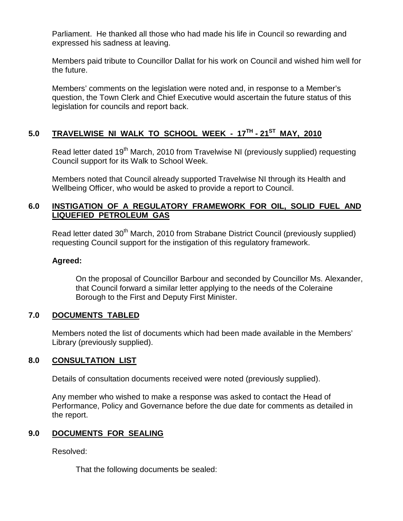Parliament. He thanked all those who had made his life in Council so rewarding and expressed his sadness at leaving.

 Members paid tribute to Councillor Dallat for his work on Council and wished him well for the future.

 Members' comments on the legislation were noted and, in response to a Member's question, the Town Clerk and Chief Executive would ascertain the future status of this legislation for councils and report back.

# **5.0 TRAVELWISE NI WALK TO SCHOOL WEEK - 17TH - 21ST MAY, 2010**

Read letter dated 19<sup>th</sup> March, 2010 from Travelwise NI (previously supplied) requesting Council support for its Walk to School Week.

 Members noted that Council already supported Travelwise NI through its Health and Wellbeing Officer, who would be asked to provide a report to Council.

## **6.0 INSTIGATION OF A REGULATORY FRAMEWORK FOR OIL, SOLID FUEL AND LIQUEFIED PETROLEUM GAS**

Read letter dated 30<sup>th</sup> March, 2010 from Strabane District Council (previously supplied) requesting Council support for the instigation of this regulatory framework.

## **Agreed:**

On the proposal of Councillor Barbour and seconded by Councillor Ms. Alexander, that Council forward a similar letter applying to the needs of the Coleraine Borough to the First and Deputy First Minister.

# **7.0 DOCUMENTS TABLED**

 Members noted the list of documents which had been made available in the Members' Library (previously supplied).

# **8.0 CONSULTATION LIST**

Details of consultation documents received were noted (previously supplied).

 Any member who wished to make a response was asked to contact the Head of Performance, Policy and Governance before the due date for comments as detailed in the report.

# **9.0 DOCUMENTS FOR SEALING**

Resolved:

That the following documents be sealed: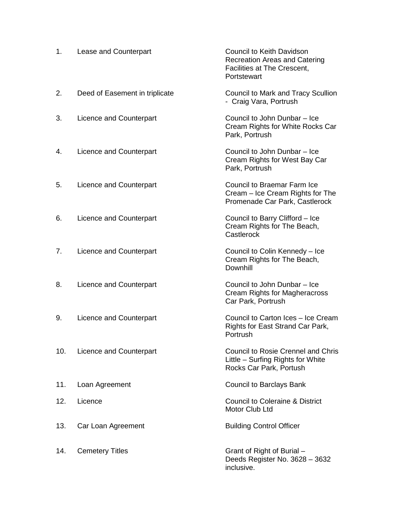| 1.  | Lease and Counterpart          | <b>Council to Keith Davidson</b><br><b>Recreation Areas and Catering</b><br>Facilities at The Crescent,<br>Portstewart |
|-----|--------------------------------|------------------------------------------------------------------------------------------------------------------------|
| 2.  | Deed of Easement in triplicate | Council to Mark and Tracy Scullion<br>- Craig Vara, Portrush                                                           |
| 3.  | Licence and Counterpart        | Council to John Dunbar - Ice<br>Cream Rights for White Rocks Car<br>Park, Portrush                                     |
| 4.  | Licence and Counterpart        | Council to John Dunbar - Ice<br>Cream Rights for West Bay Car<br>Park, Portrush                                        |
| 5.  | Licence and Counterpart        | Council to Braemar Farm Ice<br>Cream - Ice Cream Rights for The<br>Promenade Car Park, Castlerock                      |
| 6.  | Licence and Counterpart        | Council to Barry Clifford - Ice<br>Cream Rights for The Beach,<br>Castlerock                                           |
| 7.  | Licence and Counterpart        | Council to Colin Kennedy - Ice<br>Cream Rights for The Beach,<br>Downhill                                              |
| 8.  | Licence and Counterpart        | Council to John Dunbar - Ice<br>Cream Rights for Magheracross<br>Car Park, Portrush                                    |
| 9.  | Licence and Counterpart        | Council to Carton Ices - Ice Cream<br>Rights for East Strand Car Park,<br>Portrush                                     |
| 10. | Licence and Counterpart        | <b>Council to Rosie Crennel and Chris</b><br>Little - Surfing Rights for White<br>Rocks Car Park, Portush              |
| 11. | Loan Agreement                 | Council to Barclays Bank                                                                                               |
| 12. | Licence                        | <b>Council to Coleraine &amp; District</b><br>Motor Club Ltd                                                           |
| 13. | Car Loan Agreement             | <b>Building Control Officer</b>                                                                                        |
| 14. | <b>Cemetery Titles</b>         | Grant of Right of Burial -<br>Deeds Register No. 3628 - 3632<br>inclusive.                                             |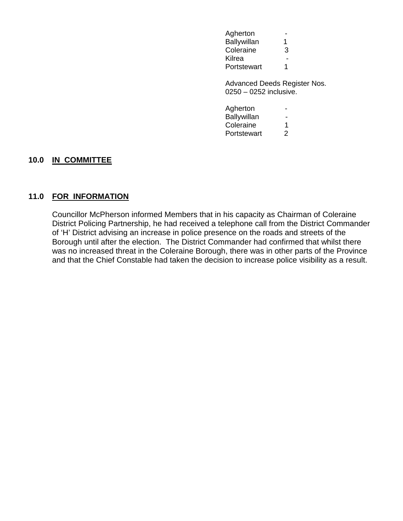| Agherton           |   |
|--------------------|---|
| <b>Ballywillan</b> | 1 |
| Coleraine          | 3 |
| Kilrea             |   |
| Portstewart        | 1 |

Advanced Deeds Register Nos. 0250 – 0252 inclusive.

| Agherton    |   |
|-------------|---|
| Ballywillan |   |
| Coleraine   | 1 |
| Portstewart | 2 |

#### **10.0 IN COMMITTEE**

#### **11.0 FOR INFORMATION**

Councillor McPherson informed Members that in his capacity as Chairman of Coleraine District Policing Partnership, he had received a telephone call from the District Commander of 'H' District advising an increase in police presence on the roads and streets of the Borough until after the election. The District Commander had confirmed that whilst there was no increased threat in the Coleraine Borough, there was in other parts of the Province and that the Chief Constable had taken the decision to increase police visibility as a result.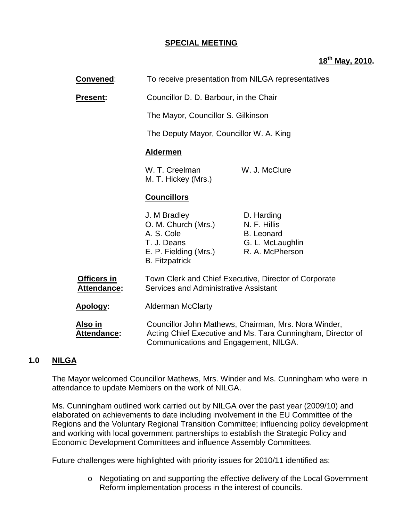## **SPECIAL MEETING**

# **18th May, 2010.**

| Convened:                                | To receive presentation from NILGA representatives                                                                                                                                       |                                                                                        |
|------------------------------------------|------------------------------------------------------------------------------------------------------------------------------------------------------------------------------------------|----------------------------------------------------------------------------------------|
| <b>Present:</b>                          | Councillor D. D. Barbour, in the Chair                                                                                                                                                   |                                                                                        |
|                                          | The Mayor, Councillor S. Gilkinson                                                                                                                                                       |                                                                                        |
|                                          | The Deputy Mayor, Councillor W. A. King                                                                                                                                                  |                                                                                        |
|                                          | <b>Aldermen</b>                                                                                                                                                                          |                                                                                        |
|                                          | W. T. Creelman<br>M. T. Hickey (Mrs.)                                                                                                                                                    | W. J. McClure                                                                          |
|                                          | <b>Councillors</b>                                                                                                                                                                       |                                                                                        |
|                                          | J. M Bradley<br>O. M. Church (Mrs.)<br>A. S. Cole<br>T. J. Deans<br>E. P. Fielding (Mrs.)<br><b>B.</b> Fitzpatrick                                                                       | D. Harding<br>N. F. Hillis<br><b>B.</b> Leonard<br>G. L. McLaughlin<br>R. A. McPherson |
| <b>Officers in</b><br><b>Attendance:</b> | Town Clerk and Chief Executive, Director of Corporate<br>Services and Administrative Assistant                                                                                           |                                                                                        |
| Apology:                                 | <b>Alderman McClarty</b><br>Councillor John Mathews, Chairman, Mrs. Nora Winder,<br>Acting Chief Executive and Ms. Tara Cunningham, Director of<br>Communications and Engagement, NILGA. |                                                                                        |
| Also in<br><b>Attendance:</b>            |                                                                                                                                                                                          |                                                                                        |

# **1.0 NILGA**

The Mayor welcomed Councillor Mathews, Mrs. Winder and Ms. Cunningham who were in attendance to update Members on the work of NILGA.

Ms. Cunningham outlined work carried out by NILGA over the past year (2009/10) and elaborated on achievements to date including involvement in the EU Committee of the Regions and the Voluntary Regional Transition Committee; influencing policy development and working with local government partnerships to establish the Strategic Policy and Economic Development Committees and influence Assembly Committees.

Future challenges were highlighted with priority issues for 2010/11 identified as:

o Negotiating on and supporting the effective delivery of the Local Government Reform implementation process in the interest of councils.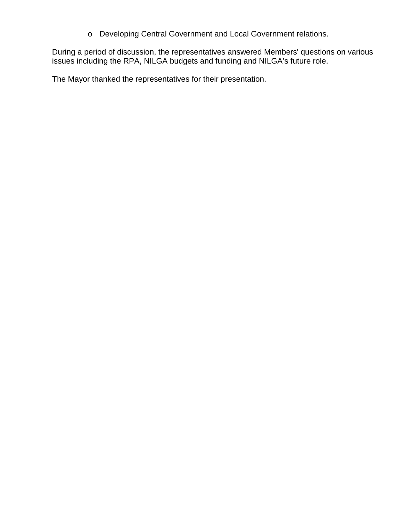o Developing Central Government and Local Government relations.

During a period of discussion, the representatives answered Members' questions on various issues including the RPA, NILGA budgets and funding and NILGA's future role.

The Mayor thanked the representatives for their presentation.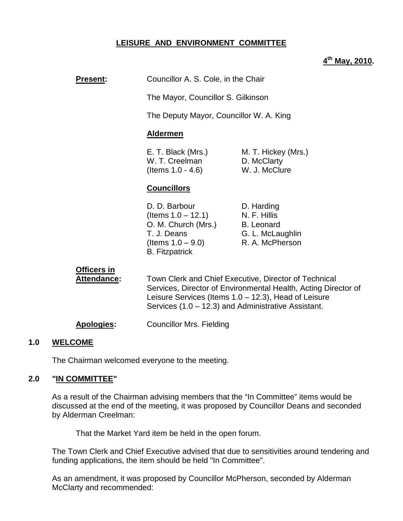## **LEISURE AND ENVIRONMENT COMMITTEE**

## **4 th May, 2010.**

# **Present:** Councillor A. S. Cole, in the Chair

The Mayor, Councillor S. Gilkinson

The Deputy Mayor, Councillor W. A. King

#### **Aldermen**

| E. T. Black (Mrs.)   | M. T. Hickey (Mrs.) |
|----------------------|---------------------|
| W. T. Creelman       | D. McClarty         |
| (Items $1.0 - 4.6$ ) | W. J. McClure       |

## **Councillors**

D. D. Barbour D. Harding  $($ ltems  $1.0 - 12.1)$  N. F. Hillis O. M. Church (Mrs.) B. Leonard T. J. Deans G. L. McLaughlin (Items  $1.0 - 9.0$ ) R. A. McPherson B. Fitzpatrick

# **Officers in**

**Attendance:** Town Clerk and Chief Executive, Director of Technical Services, Director of Environmental Health, Acting Director of Leisure Services (Items 1.0 – 12.3), Head of Leisure Services (1.0 – 12.3) and Administrative Assistant.

**Apologies:** Councillor Mrs. Fielding

#### **1.0 WELCOME**

The Chairman welcomed everyone to the meeting.

#### **2.0 "IN COMMITTEE"**

 As a result of the Chairman advising members that the "In Committee" items would be discussed at the end of the meeting, it was proposed by Councillor Deans and seconded by Alderman Creelman:

That the Market Yard item be held in the open forum.

 The Town Clerk and Chief Executive advised that due to sensitivities around tendering and funding applications, the item should be held "In Committee".

 As an amendment, it was proposed by Councillor McPherson, seconded by Alderman McClarty and recommended: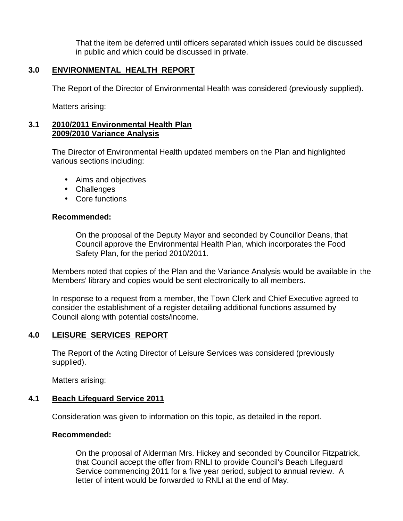That the item be deferred until officers separated which issues could be discussed in public and which could be discussed in private.

# **3.0 ENVIRONMENTAL HEALTH REPORT**

The Report of the Director of Environmental Health was considered (previously supplied).

Matters arising:

#### **3.1 2010/2011 Environmental Health Plan 2009/2010 Variance Analysis**

 The Director of Environmental Health updated members on the Plan and highlighted various sections including:

- Aims and objectives
- Challenges
- Core functions

## **Recommended:**

 On the proposal of the Deputy Mayor and seconded by Councillor Deans, that Council approve the Environmental Health Plan, which incorporates the Food Safety Plan, for the period 2010/2011.

 Members noted that copies of the Plan and the Variance Analysis would be available in the Members' library and copies would be sent electronically to all members.

 In response to a request from a member, the Town Clerk and Chief Executive agreed to consider the establishment of a register detailing additional functions assumed by Council along with potential costs/income.

# **4.0 LEISURE SERVICES REPORT**

 The Report of the Acting Director of Leisure Services was considered (previously supplied).

Matters arising:

## **4.1 Beach Lifeguard Service 2011**

Consideration was given to information on this topic, as detailed in the report.

## **Recommended:**

 On the proposal of Alderman Mrs. Hickey and seconded by Councillor Fitzpatrick, that Council accept the offer from RNLI to provide Council's Beach Lifeguard Service commencing 2011 for a five year period, subject to annual review. A letter of intent would be forwarded to RNLI at the end of May.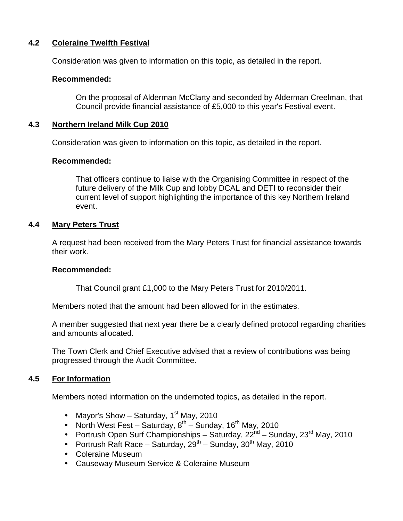# **4.2 Coleraine Twelfth Festival**

Consideration was given to information on this topic, as detailed in the report.

#### **Recommended:**

 On the proposal of Alderman McClarty and seconded by Alderman Creelman, that Council provide financial assistance of £5,000 to this year's Festival event.

#### **4.3 Northern Ireland Milk Cup 2010**

Consideration was given to information on this topic, as detailed in the report.

#### **Recommended:**

 That officers continue to liaise with the Organising Committee in respect of the future delivery of the Milk Cup and lobby DCAL and DETI to reconsider their current level of support highlighting the importance of this key Northern Ireland event.

#### **4.4 Mary Peters Trust**

 A request had been received from the Mary Peters Trust for financial assistance towards their work.

#### **Recommended:**

That Council grant £1,000 to the Mary Peters Trust for 2010/2011.

Members noted that the amount had been allowed for in the estimates.

A member suggested that next year there be a clearly defined protocol regarding charities and amounts allocated.

The Town Clerk and Chief Executive advised that a review of contributions was being progressed through the Audit Committee.

## **4.5 For Information**

Members noted information on the undernoted topics, as detailed in the report.

- Mayor's Show Saturday,  $1<sup>st</sup>$  May, 2010
- North West Fest Saturday,  $8^{th}$  Sunday, 16<sup>th</sup> May, 2010
- Portrush Open Surf Championships Saturday,  $22^{nd}$  Sunday,  $23^{rd}$  May, 2010
- Portrush Raft Race Saturday,  $29^{th}$  Sunday,  $30^{th}$  May, 2010
- Coleraine Museum
- Causeway Museum Service & Coleraine Museum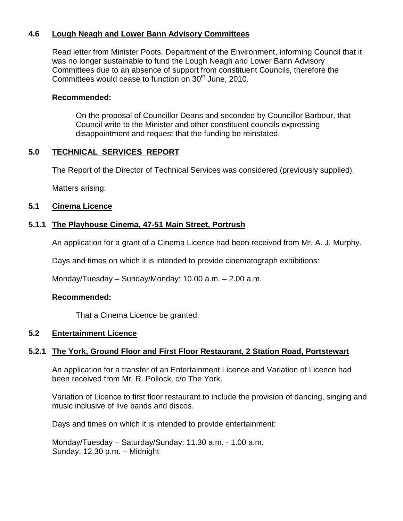## **4.6 Lough Neagh and Lower Bann Advisory Committees**

 Read letter from Minister Poots, Department of the Environment, informing Council that it was no longer sustainable to fund the Lough Neagh and Lower Bann Advisory Committees due to an absence of support from constituent Councils, therefore the Committees would cease to function on 30<sup>th</sup> June, 2010.

#### **Recommended:**

 On the proposal of Councillor Deans and seconded by Councillor Barbour, that Council write to the Minister and other constituent councils expressing disappointment and request that the funding be reinstated.

## **5.0 TECHNICAL SERVICES REPORT**

The Report of the Director of Technical Services was considered (previously supplied).

Matters arising:

## **5.1 Cinema Licence**

## **5.1.1 The Playhouse Cinema, 47-51 Main Street, Portrush**

An application for a grant of a Cinema Licence had been received from Mr. A. J. Murphy.

Days and times on which it is intended to provide cinematograph exhibitions:

Monday/Tuesday – Sunday/Monday: 10.00 a.m. – 2.00 a.m.

## **Recommended:**

That a Cinema Licence be granted.

## **5.2 Entertainment Licence**

## **5.2.1 The York, Ground Floor and First Floor Restaurant, 2 Station Road, Portstewart**

 An application for a transfer of an Entertainment Licence and Variation of Licence had been received from Mr. R. Pollock, c/o The York.

 Variation of Licence to first floor restaurant to include the provision of dancing, singing and music inclusive of live bands and discos.

Days and times on which it is intended to provide entertainment:

 Monday/Tuesday – Saturday/Sunday: 11.30 a.m. - 1.00 a.m. Sunday: 12.30 p.m. – Midnight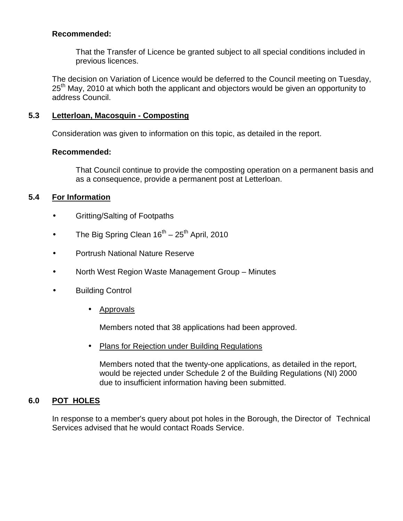That the Transfer of Licence be granted subject to all special conditions included in previous licences.

The decision on Variation of Licence would be deferred to the Council meeting on Tuesday, 25<sup>th</sup> May, 2010 at which both the applicant and objectors would be given an opportunity to address Council.

## **5.3 Letterloan, Macosquin - Composting**

Consideration was given to information on this topic, as detailed in the report.

## **Recommended:**

 That Council continue to provide the composting operation on a permanent basis and as a consequence, provide a permanent post at Letterloan.

# **5.4 For Information**

- Gritting/Salting of Footpaths
- The Big Spring Clean  $16^{th}$   $25^{th}$  April, 2010
- Portrush National Nature Reserve
- North West Region Waste Management Group Minutes
- Building Control
	- Approvals

Members noted that 38 applications had been approved.

• Plans for Rejection under Building Regulations

 Members noted that the twenty-one applications, as detailed in the report, would be rejected under Schedule 2 of the Building Regulations (NI) 2000 due to insufficient information having been submitted.

# **6.0 POT HOLES**

 In response to a member's query about pot holes in the Borough, the Director of Technical Services advised that he would contact Roads Service.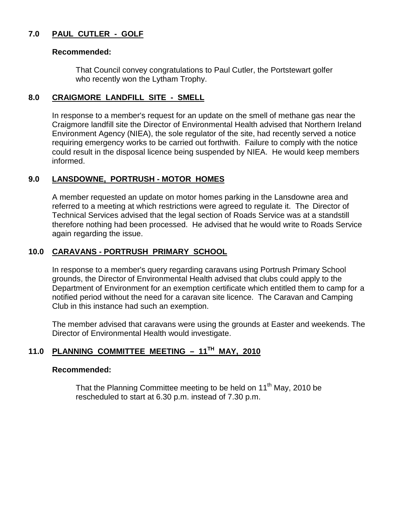# **7.0 PAUL CUTLER - GOLF**

#### **Recommended:**

 That Council convey congratulations to Paul Cutler, the Portstewart golfer who recently won the Lytham Trophy.

## **8.0 CRAIGMORE LANDFILL SITE - SMELL**

In response to a member's request for an update on the smell of methane gas near the Craigmore landfill site the Director of Environmental Health advised that Northern Ireland Environment Agency (NIEA), the sole regulator of the site, had recently served a notice requiring emergency works to be carried out forthwith. Failure to comply with the notice could result in the disposal licence being suspended by NIEA. He would keep members informed.

# **9.0 LANSDOWNE, PORTRUSH - MOTOR HOMES**

A member requested an update on motor homes parking in the Lansdowne area and referred to a meeting at which restrictions were agreed to regulate it. The Director of Technical Services advised that the legal section of Roads Service was at a standstill therefore nothing had been processed. He advised that he would write to Roads Service again regarding the issue.

## **10.0 CARAVANS - PORTRUSH PRIMARY SCHOOL**

 In response to a member's query regarding caravans using Portrush Primary School grounds, the Director of Environmental Health advised that clubs could apply to the Department of Environment for an exemption certificate which entitled them to camp for a notified period without the need for a caravan site licence. The Caravan and Camping Club in this instance had such an exemption.

 The member advised that caravans were using the grounds at Easter and weekends. The Director of Environmental Health would investigate.

# **11.0 PLANNING COMMITTEE MEETING – 11TH MAY, 2010**

#### **Recommended:**

That the Planning Committee meeting to be held on  $11<sup>th</sup>$  May, 2010 be rescheduled to start at 6.30 p.m. instead of 7.30 p.m.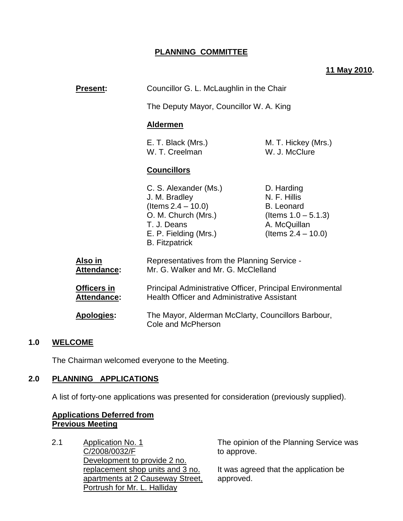## **PLANNING COMMITTEE**

## **11 May 2010.**

| <b>Present:</b>            | Councillor G. L. McLaughlin in the Chair                                                                                                                |                                                                                                                    |
|----------------------------|---------------------------------------------------------------------------------------------------------------------------------------------------------|--------------------------------------------------------------------------------------------------------------------|
|                            | The Deputy Mayor, Councillor W. A. King                                                                                                                 |                                                                                                                    |
|                            | <b>Aldermen</b>                                                                                                                                         |                                                                                                                    |
|                            | E. T. Black (Mrs.)<br>W. T. Creelman                                                                                                                    | M. T. Hickey (Mrs.)<br>W. J. McClure                                                                               |
|                            | <b>Councillors</b>                                                                                                                                      |                                                                                                                    |
|                            | C. S. Alexander (Ms.)<br>J. M. Bradley<br>(Items $2.4 - 10.0$ )<br>O. M. Church (Mrs.)<br>T. J. Deans<br>E. P. Fielding (Mrs.)<br><b>B.</b> Fitzpatrick | D. Harding<br>N. F. Hillis<br><b>B.</b> Leonard<br>(Items $1.0 - 5.1.3$ )<br>A. McQuillan<br>(Items $2.4 - 10.0$ ) |
| Also in<br>Attendance:     | Representatives from the Planning Service -<br>Mr. G. Walker and Mr. G. McClelland                                                                      |                                                                                                                    |
| Officers in<br>Attendance: | Principal Administrative Officer, Principal Environmental<br><b>Health Officer and Administrative Assistant</b>                                         |                                                                                                                    |
| <b>Apologies:</b>          | The Mayor, Alderman McClarty, Councillors Barbour,<br>Cole and McPherson                                                                                |                                                                                                                    |
|                            |                                                                                                                                                         |                                                                                                                    |

#### **1.0 WELCOME**

The Chairman welcomed everyone to the Meeting.

#### **2.0 PLANNING APPLICATIONS**

A list of forty-one applications was presented for consideration (previously supplied).

#### **Applications Deferred from Previous Meeting**

2.1 Application No. 1 C/2008/0032/F Development to provide 2 no. replacement shop units and 3 no. apartments at 2 Causeway Street, Portrush for Mr. L. Halliday

The opinion of the Planning Service was to approve.

It was agreed that the application be approved.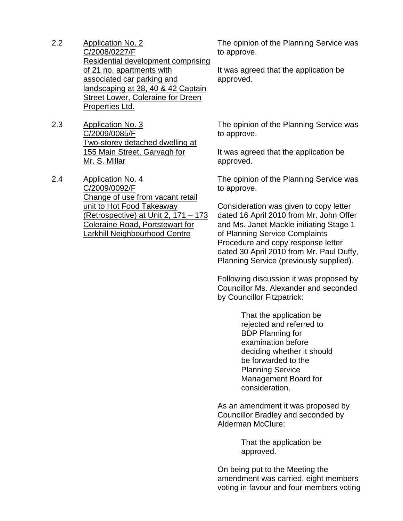- 2.2 Application No. 2 C/2008/0227/F Residential development comprising of 21 no. apartments with associated car parking and landscaping at 38, 40 & 42 Captain **Street Lower, Coleraine for Dreen** Properties Ltd.
- 2.3 Application No. 3 C/2009/0085/F Two-storey detached dwelling at 155 Main Street, Garvagh for Mr. S. Millar
- 2.4 Application No. 4 C/2009/0092/F Change of use from vacant retail unit to Hot Food Takeaway (Retrospective) at Unit 2, 171 – 173 Coleraine Road, Portstewart for Larkhill Neighbourhood Centre

The opinion of the Planning Service was to approve.

It was agreed that the application be approved.

The opinion of the Planning Service was to approve.

It was agreed that the application be approved.

The opinion of the Planning Service was to approve.

Consideration was given to copy letter dated 16 April 2010 from Mr. John Offer and Ms. Janet Mackle initiating Stage 1 of Planning Service Complaints Procedure and copy response letter dated 30 April 2010 from Mr. Paul Duffy, Planning Service (previously supplied).

Following discussion it was proposed by Councillor Ms. Alexander and seconded by Councillor Fitzpatrick:

> That the application be rejected and referred to BDP Planning for examination before deciding whether it should be forwarded to the Planning Service Management Board for consideration.

As an amendment it was proposed by Councillor Bradley and seconded by Alderman McClure:

> That the application be approved.

On being put to the Meeting the amendment was carried, eight members voting in favour and four members voting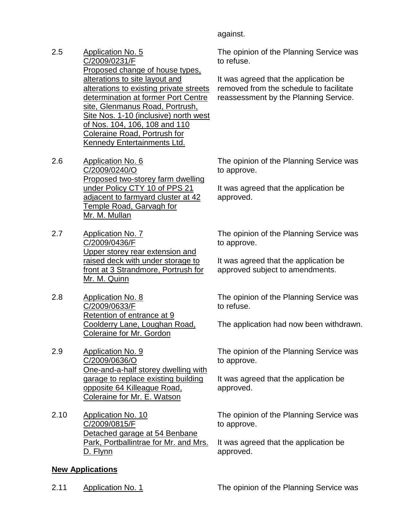against.

- 2.5 Application No. 5 C/2009/0231/F Proposed change of house types, alterations to site layout and alterations to existing private streets determination at former Port Centre site, Glenmanus Road, Portrush, Site Nos. 1-10 (inclusive) north west of Nos. 104, 106, 108 and 110 Coleraine Road, Portrush for Kennedy Entertainments Ltd.
- 2.6 Application No. 6 C/2009/0240/O Proposed two-storey farm dwelling under Policy CTY 10 of PPS 21 adjacent to farmyard cluster at 42 Temple Road, Garvagh for Mr. M. Mullan
- 2.7 Application No. 7 C/2009/0436/F Upper storey rear extension and raised deck with under storage to front at 3 Strandmore, Portrush for Mr. M. Quinn
- 2.8 Application No. 8 C/2009/0633/F Retention of entrance at 9 Coolderry Lane, Loughan Road, Coleraine for Mr. Gordon
- 2.9 Application No. 9 C/2009/0636/O One-and-a-half storey dwelling with garage to replace existing building opposite 64 Killeague Road, Coleraine for Mr. E. Watson
- 2.10 Application No. 10 C/2009/0815/F Detached garage at 54 Benbane Park, Portballintrae for Mr. and Mrs. D. Flynn

# **New Applications**

The opinion of the Planning Service was to refuse.

It was agreed that the application be removed from the schedule to facilitate reassessment by the Planning Service.

The opinion of the Planning Service was to approve.

It was agreed that the application be approved.

The opinion of the Planning Service was to approve.

It was agreed that the application be approved subject to amendments.

The opinion of the Planning Service was to refuse.

The application had now been withdrawn.

The opinion of the Planning Service was to approve.

It was agreed that the application be approved.

The opinion of the Planning Service was to approve.

It was agreed that the application be approved.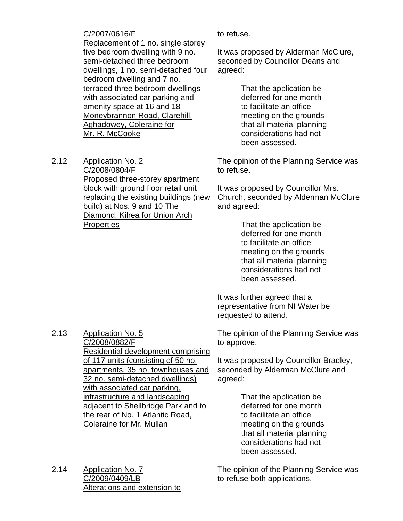C/2007/0616/F Replacement of 1 no. single storey five bedroom dwelling with 9 no. semi-detached three bedroom dwellings, 1 no. semi-detached four bedroom dwelling and 7 no. terraced three bedroom dwellings with associated car parking and amenity space at 16 and 18 Moneybrannon Road, Clarehill, Aghadowey, Coleraine for Mr. R. McCooke

2.12 Application No. 2 C/2008/0804/F Proposed three-storey apartment block with ground floor retail unit replacing the existing buildings (new build) at Nos. 9 and 10 The Diamond, Kilrea for Union Arch **Properties** 

to refuse.

It was proposed by Alderman McClure, seconded by Councillor Deans and agreed:

> That the application be deferred for one month to facilitate an office meeting on the grounds that all material planning considerations had not been assessed.

The opinion of the Planning Service was to refuse.

It was proposed by Councillor Mrs. Church, seconded by Alderman McClure and agreed:

> That the application be deferred for one month to facilitate an office meeting on the grounds that all material planning considerations had not been assessed.

It was further agreed that a representative from NI Water be requested to attend.

The opinion of the Planning Service was to approve.

It was proposed by Councillor Bradley, seconded by Alderman McClure and agreed:

> That the application be deferred for one month to facilitate an office meeting on the grounds that all material planning considerations had not been assessed.

The opinion of the Planning Service was to refuse both applications.

2.13 Application No. 5 C/2008/0882/F Residential development comprising of 117 units (consisting of 50 no. apartments, 35 no. townhouses and 32 no. semi-detached dwellings) with associated car parking, infrastructure and landscaping adjacent to Shellbridge Park and to the rear of No. 1 Atlantic Road, Coleraine for Mr. Mullan

2.14 Application No. 7 C/2009/0409/LB Alterations and extension to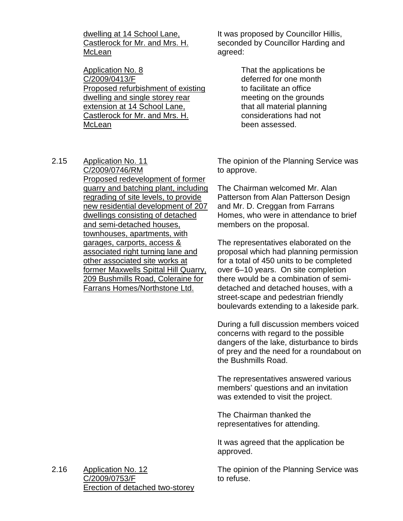dwelling at 14 School Lane, Castlerock for Mr. and Mrs. H. McLean

Application No. 8 C/2009/0413/F Proposed refurbishment of existing dwelling and single storey rear extension at 14 School Lane, Castlerock for Mr. and Mrs. H. McLean

It was proposed by Councillor Hillis, seconded by Councillor Harding and agreed:

> That the applications be deferred for one month to facilitate an office meeting on the grounds that all material planning considerations had not been assessed.

2.15 Application No. 11

C/2009/0746/RM Proposed redevelopment of former quarry and batching plant, including regrading of site levels, to provide new residential development of 207 dwellings consisting of detached and semi-detached houses, townhouses, apartments, with garages, carports, access & associated right turning lane and other associated site works at former Maxwells Spittal Hill Quarry, 209 Bushmills Road, Coleraine for Farrans Homes/Northstone Ltd.

The opinion of the Planning Service was to approve.

The Chairman welcomed Mr. Alan Patterson from Alan Patterson Design and Mr. D. Creggan from Farrans Homes, who were in attendance to brief members on the proposal.

The representatives elaborated on the proposal which had planning permission for a total of 450 units to be completed over 6–10 years. On site completion there would be a combination of semidetached and detached houses, with a street-scape and pedestrian friendly boulevards extending to a lakeside park.

During a full discussion members voiced concerns with regard to the possible dangers of the lake, disturbance to birds of prey and the need for a roundabout on the Bushmills Road.

The representatives answered various members' questions and an invitation was extended to visit the project.

The Chairman thanked the representatives for attending.

It was agreed that the application be approved.

The opinion of the Planning Service was to refuse.

2.16 Application No. 12 C/2009/0753/F Erection of detached two-storey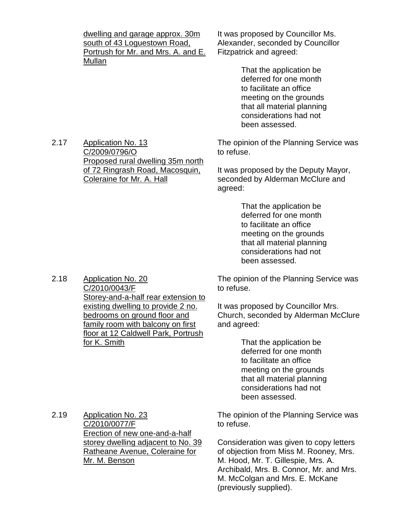dwelling and garage approx. 30m south of 43 Loguestown Road, Portrush for Mr. and Mrs. A. and E. Mullan

It was proposed by Councillor Ms. Alexander, seconded by Councillor Fitzpatrick and agreed:

> That the application be deferred for one month to facilitate an office meeting on the grounds that all material planning considerations had not been assessed.

The opinion of the Planning Service was to refuse.

It was proposed by the Deputy Mayor, seconded by Alderman McClure and agreed:

> That the application be deferred for one month to facilitate an office meeting on the grounds that all material planning considerations had not been assessed.

The opinion of the Planning Service was to refuse.

It was proposed by Councillor Mrs. Church, seconded by Alderman McClure and agreed:

> That the application be deferred for one month to facilitate an office meeting on the grounds that all material planning considerations had not been assessed.

The opinion of the Planning Service was to refuse.

Consideration was given to copy letters of objection from Miss M. Rooney, Mrs. M. Hood, Mr. T. Gillespie, Mrs. A. Archibald, Mrs. B. Connor, Mr. and Mrs. M. McColgan and Mrs. E. McKane (previously supplied).

2.17 Application No. 13 C/2009/0796/O Proposed rural dwelling 35m north of 72 Ringrash Road, Macosquin, Coleraine for Mr. A. Hall

2.18 Application No. 20 C/2010/0043/F

Storey-and-a-half rear extension to existing dwelling to provide 2 no. bedrooms on ground floor and family room with balcony on first floor at 12 Caldwell Park, Portrush for K. Smith

2.19 Application No. 23 C/2010/0077/F Erection of new one-and-a-half storey dwelling adjacent to No. 39 Ratheane Avenue, Coleraine for Mr. M. Benson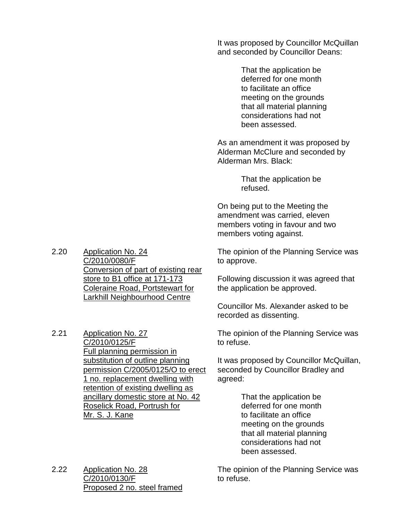It was proposed by Councillor McQuillan and seconded by Councillor Deans:

> That the application be deferred for one month to facilitate an office meeting on the grounds that all material planning considerations had not been assessed.

As an amendment it was proposed by Alderman McClure and seconded by Alderman Mrs. Black:

> That the application be refused.

On being put to the Meeting the amendment was carried, eleven members voting in favour and two members voting against.

The opinion of the Planning Service was to approve.

Following discussion it was agreed that the application be approved.

Councillor Ms. Alexander asked to be recorded as dissenting.

The opinion of the Planning Service was to refuse.

It was proposed by Councillor McQuillan, seconded by Councillor Bradley and agreed:

> That the application be deferred for one month to facilitate an office meeting on the grounds that all material planning considerations had not been assessed.

The opinion of the Planning Service was to refuse.

2.20 Application No. 24 C/2010/0080/F Conversion of part of existing rear store to B1 office at 171-173 Coleraine Road, Portstewart for Larkhill Neighbourhood Centre

2.21 Application No. 27 C/2010/0125/F Full planning permission in substitution of outline planning permission C/2005/0125/O to erect 1 no. replacement dwelling with retention of existing dwelling as ancillary domestic store at No. 42 Roselick Road, Portrush for Mr. S. J. Kane

2.22 Application No. 28 C/2010/0130/F Proposed 2 no. steel framed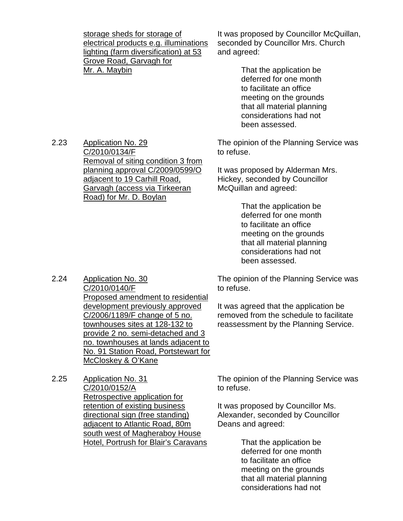storage sheds for storage of electrical products e.g. illuminations lighting (farm diversification) at 53 Grove Road, Garvagh for Mr. A. Maybin

Removal of siting condition 3 from planning approval C/2009/0599/O

adjacent to 19 Carhill Road, Garvagh (access via Tirkeeran

Road) for Mr. D. Boylan

It was proposed by Councillor McQuillan, seconded by Councillor Mrs. Church and agreed:

> That the application be deferred for one month to facilitate an office meeting on the grounds that all material planning considerations had not been assessed.

The opinion of the Planning Service was to refuse.

It was proposed by Alderman Mrs. Hickey, seconded by Councillor McQuillan and agreed:

> That the application be deferred for one month to facilitate an office meeting on the grounds that all material planning considerations had not been assessed.

The opinion of the Planning Service was to refuse.

It was agreed that the application be removed from the schedule to facilitate reassessment by the Planning Service.

2.24 Application No. 30 C/2010/0140/F Proposed amendment to residential development previously approved C/2006/1189/F change of 5 no. townhouses sites at 128-132 to provide 2 no. semi-detached and 3 no. townhouses at lands adjacent to No. 91 Station Road, Portstewart for

> The opinion of the Planning Service was to refuse.

It was proposed by Councillor Ms. Alexander, seconded by Councillor Deans and agreed:

> That the application be deferred for one month to facilitate an office meeting on the grounds that all material planning considerations had not

McCloskey & O'Kane 2.25 Application No. 31 C/2010/0152/A Retrospective application for retention of existing business directional sign (free standing) adjacent to Atlantic Road, 80m south west of Magheraboy House Hotel, Portrush for Blair's Caravans

- 
- 

2.23 Application No. 29

C/2010/0134/F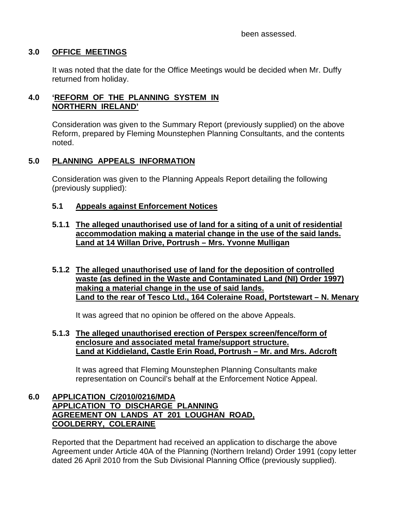been assessed.

## **3.0 OFFICE MEETINGS**

 It was noted that the date for the Office Meetings would be decided when Mr. Duffy returned from holiday.

## **4.0 'REFORM OF THE PLANNING SYSTEM IN NORTHERN IRELAND'**

 Consideration was given to the Summary Report (previously supplied) on the above Reform, prepared by Fleming Mounstephen Planning Consultants, and the contents noted.

## **5.0 PLANNING APPEALS INFORMATION**

 Consideration was given to the Planning Appeals Report detailing the following (previously supplied):

## **5.1 Appeals against Enforcement Notices**

## **5.1.1 The alleged unauthorised use of land for a siting of a unit of residential accommodation making a material change in the use of the said lands. Land at 14 Willan Drive, Portrush – Mrs. Yvonne Mulligan**

## **5.1.2 The alleged unauthorised use of land for the deposition of controlled waste (as defined in the Waste and Contaminated Land (NI) Order 1997) making a material change in the use of said lands. Land to the rear of Tesco Ltd., 164 Coleraine Road, Portstewart – N. Menary**

It was agreed that no opinion be offered on the above Appeals.

## **5.1.3 The alleged unauthorised erection of Perspex screen/fence/form of enclosure and associated metal frame/support structure. Land at Kiddieland, Castle Erin Road, Portrush – Mr. and Mrs. Adcroft**

 It was agreed that Fleming Mounstephen Planning Consultants make representation on Council's behalf at the Enforcement Notice Appeal.

## **6.0 APPLICATION C/2010/0216/MDA APPLICATION TO DISCHARGE PLANNING AGREEMENT ON LANDS AT 201 LOUGHAN ROAD, COOLDERRY, COLERAINE**

 Reported that the Department had received an application to discharge the above Agreement under Article 40A of the Planning (Northern Ireland) Order 1991 (copy letter dated 26 April 2010 from the Sub Divisional Planning Office (previously supplied).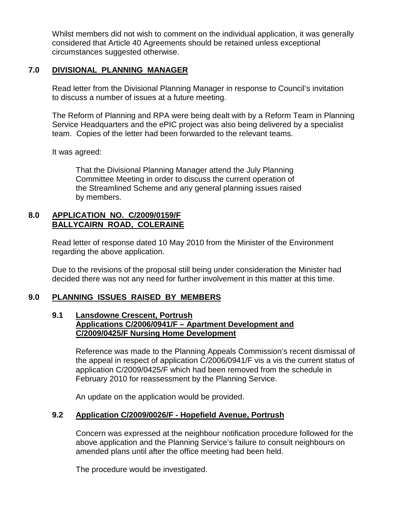Whilst members did not wish to comment on the individual application, it was generally considered that Article 40 Agreements should be retained unless exceptional circumstances suggested otherwise.

## **7.0 DIVISIONAL PLANNING MANAGER**

 Read letter from the Divisional Planning Manager in response to Council's invitation to discuss a number of issues at a future meeting.

 The Reform of Planning and RPA were being dealt with by a Reform Team in Planning Service Headquarters and the ePIC project was also being delivered by a specialist team. Copies of the letter had been forwarded to the relevant teams.

It was agreed:

 That the Divisional Planning Manager attend the July Planning Committee Meeting in order to discuss the current operation of the Streamlined Scheme and any general planning issues raised by members.

#### **8.0 APPLICATION NO. C/2009/0159/F BALLYCAIRN ROAD, COLERAINE**

 Read letter of response dated 10 May 2010 from the Minister of the Environment regarding the above application.

 Due to the revisions of the proposal still being under consideration the Minister had decided there was not any need for further involvement in this matter at this time.

## **9.0 PLANNING ISSUES RAISED BY MEMBERS**

#### **9.1 Lansdowne Crescent, Portrush Applications C/2006/0941/F – Apartment Development and C/2009/0425/F Nursing Home Development**

 Reference was made to the Planning Appeals Commission's recent dismissal of the appeal in respect of application C/2006/0941/F vis a vis the current status of application C/2009/0425/F which had been removed from the schedule in February 2010 for reassessment by the Planning Service.

An update on the application would be provided.

## **9.2 Application C/2009/0026/F - Hopefield Avenue, Portrush**

 Concern was expressed at the neighbour notification procedure followed for the above application and the Planning Service's failure to consult neighbours on amended plans until after the office meeting had been held.

The procedure would be investigated.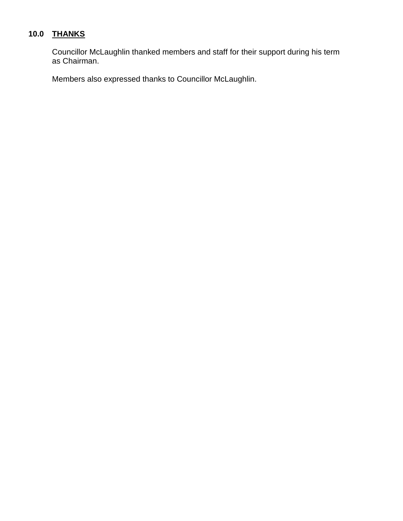# **10.0 THANKS**

 Councillor McLaughlin thanked members and staff for their support during his term as Chairman.

Members also expressed thanks to Councillor McLaughlin.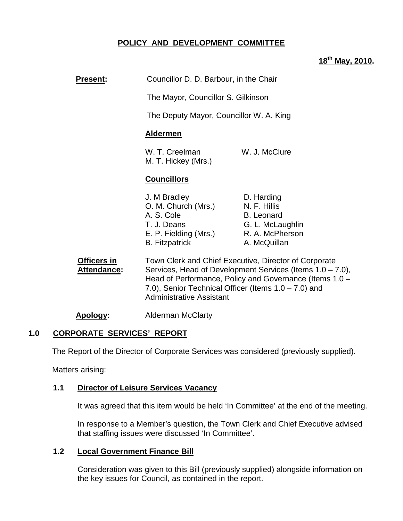# **POLICY AND DEVELOPMENT COMMITTEE**

## **18th May, 2010.**

# **Present:** Councillor D. D. Barbour, in the Chair

The Mayor, Councillor S. Gilkinson

The Deputy Mayor, Councillor W. A. King

#### **Aldermen**

W. T. Creelman W. J. McClure M. T. Hickey (Mrs.)

#### **Councillors**

| J. M Bradley          | D. Harding        |
|-----------------------|-------------------|
| O. M. Church (Mrs.)   | N. F. Hillis      |
| A. S. Cole            | <b>B.</b> Leonard |
| T. J. Deans           | G. L. McLaughlin  |
| E. P. Fielding (Mrs.) | R. A. McPherson   |
| <b>B.</b> Fitzpatrick | A. McQuillan      |

**Officers in Town Clerk and Chief Executive, Director of Corporate Attendance:** Services, Head of Development Services (Items 1.0 – 7.0), Head of Performance, Policy and Governance (Items 1.0 – 7.0), Senior Technical Officer (Items 1.0 – 7.0) and Administrative Assistant

**Apology:** Alderman McClarty

#### **1.0 CORPORATE SERVICES' REPORT**

The Report of the Director of Corporate Services was considered (previously supplied).

Matters arising:

#### **1.1 Director of Leisure Services Vacancy**

It was agreed that this item would be held 'In Committee' at the end of the meeting.

In response to a Member's question, the Town Clerk and Chief Executive advised that staffing issues were discussed 'In Committee'.

#### **1.2 Local Government Finance Bill**

 Consideration was given to this Bill (previously supplied) alongside information on the key issues for Council, as contained in the report.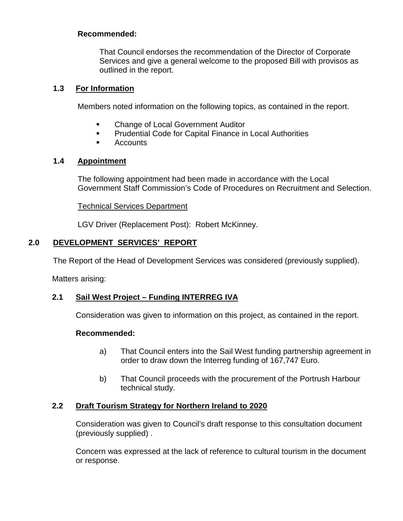That Council endorses the recommendation of the Director of Corporate Services and give a general welcome to the proposed Bill with provisos as outlined in the report.

## **1.3 For Information**

Members noted information on the following topics, as contained in the report.

- **EXEC** Change of Local Government Auditor
- **Prudential Code for Capital Finance in Local Authorities**
- **E** Accounts

## **1.4 Appointment**

The following appointment had been made in accordance with the Local Government Staff Commission's Code of Procedures on Recruitment and Selection.

Technical Services Department

LGV Driver (Replacement Post): Robert McKinney.

# **2.0 DEVELOPMENT SERVICES' REPORT**

The Report of the Head of Development Services was considered (previously supplied).

Matters arising:

# **2.1 Sail West Project – Funding INTERREG IVA**

Consideration was given to information on this project, as contained in the report.

## **Recommended:**

- a) That Council enters into the Sail West funding partnership agreement in order to draw down the Interreg funding of 167,747 Euro.
- b) That Council proceeds with the procurement of the Portrush Harbour technical study.

## **2.2 Draft Tourism Strategy for Northern Ireland to 2020**

Consideration was given to Council's draft response to this consultation document (previously supplied) .

Concern was expressed at the lack of reference to cultural tourism in the document or response.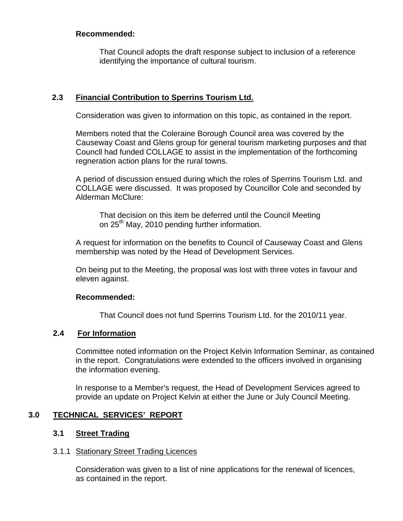That Council adopts the draft response subject to inclusion of a reference identifying the importance of cultural tourism.

# **2.3 Financial Contribution to Sperrins Tourism Ltd.**

Consideration was given to information on this topic, as contained in the report.

Members noted that the Coleraine Borough Council area was covered by the Causeway Coast and Glens group for general tourism marketing purposes and that Councll had funded COLLAGE to assist in the implementation of the forthcoming regneration action plans for the rural towns.

A period of discussion ensued during which the roles of Sperrins Tourism Ltd. and COLLAGE were discussed. It was proposed by Councillor Cole and seconded by Alderman McClure:

 That decision on this item be deferred until the Council Meeting on 25<sup>th</sup> May, 2010 pending further information.

A request for information on the benefits to Council of Causeway Coast and Glens membership was noted by the Head of Development Services.

On being put to the Meeting, the proposal was lost with three votes in favour and eleven against.

## **Recommended:**

That Council does not fund Sperrins Tourism Ltd. for the 2010/11 year.

## **2.4 For Information**

Committee noted information on the Project Kelvin Information Seminar, as contained in the report. Congratulations were extended to the officers involved in organising the information evening.

In response to a Member's request, the Head of Development Services agreed to provide an update on Project Kelvin at either the June or July Council Meeting.

## **3.0 TECHNICAL SERVICES' REPORT**

## **3.1 Street Trading**

#### 3.1.1 Stationary Street Trading Licences

 Consideration was given to a list of nine applications for the renewal of licences, as contained in the report.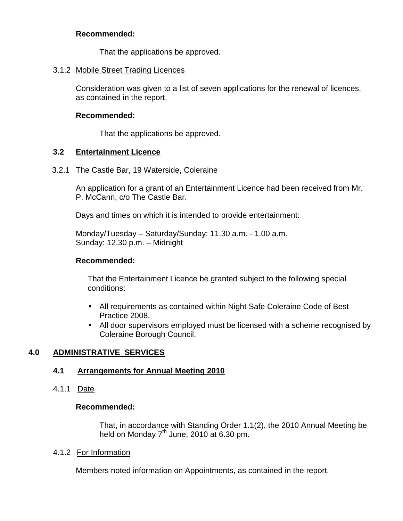That the applications be approved.

## 3.1.2 Mobile Street Trading Licences

 Consideration was given to a list of seven applications for the renewal of licences, as contained in the report.

## **Recommended:**

That the applications be approved.

## **3.2 Entertainment Licence**

## 3.2.1 The Castle Bar, 19 Waterside, Coleraine

 An application for a grant of an Entertainment Licence had been received from Mr. P. McCann, c/o The Castle Bar.

Days and times on which it is intended to provide entertainment:

 Monday/Tuesday – Saturday/Sunday: 11.30 a.m. - 1.00 a.m. Sunday: 12.30 p.m. – Midnight

## **Recommended:**

 That the Entertainment Licence be granted subject to the following special conditions:

- All requirements as contained within Night Safe Coleraine Code of Best Practice 2008.
- All door supervisors employed must be licensed with a scheme recognised by Coleraine Borough Council.

# **4.0 ADMINISTRATIVE SERVICES**

# **4.1 Arrangements for Annual Meeting 2010**

4.1.1 Date

## **Recommended:**

That, in accordance with Standing Order 1.1(2), the 2010 Annual Meeting be held on Monday  $7<sup>th</sup>$  June, 2010 at 6.30 pm.

## 4.1.2 For Information

Members noted information on Appointments, as contained in the report.